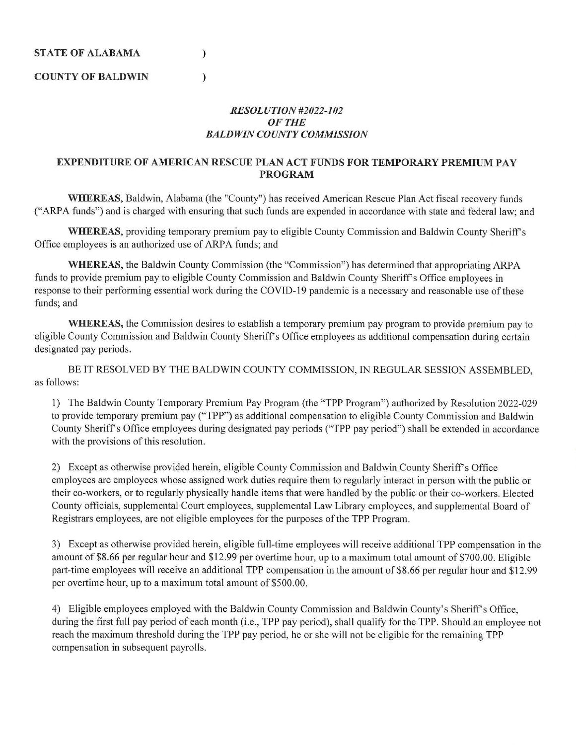)

)

**COUNTY OF BALDWIN** 

## *RESOLUTION#2022-102 OFTHE BALDWIN COUNTY COMMISSION*

## **EXPENDITURE OF AMERICAN RESCUE PLAN ACT FUNDS FOR TEMPORARY PREMIUM PAY PROGRAM**

WHEREAS, Baldwin, Alabama (the "County") has received American Rescue Plan Act fiscal recovery funds ("ARPA funds") and is charged with ensuring that such funds are expended in accordance with state and federal law; and

**WHEREAS, providing temporary premium pay to eligible County Commission and Baldwin County Sheriff's** Office employees is an authorized use of ARPA funds; and

WHEREAS, the Baldwin County Commission (the "Commission") has determined that appropriating ARPA funds to provide premium pay to eligible County Commission and Baldwin County Sheriff's Office employees in response to their performing essential work during the COVID-19 pandemic is a necessary and reasonable use of these funds; and

**WHEREAS,** the Commission desires to establish a temporary premium pay program to provide premium pay to eligible County Commission and Baldwin County Sheriff's Office employees as additional compensation during certain designated pay periods.

BE IT RESOLVED BY THE BALDWIN COUNTY COMMISSION, IN REGULAR SESSION ASSEMBLED, as follows:

1) The Baldwin County Temporary Premium Pay Program (the "TPP Program" ) authorized by Resolution 2022-029 to provide temporary premium pay ("TPP") as additional compensation to eligible County Commission and Baldwin County Sheriff's Office employees during designated pay periods ("TPP pay period") shall be extended in accordance with the provisions of this resolution.

2) Except as otherwise provided herein, eligible County Commission and Baldwin County Sheriff's Office employees are employees whose assigned work duties require them to regularly interact in person with the public or their co-workers, or to regularly physically handle items that were handled by the public or their co-workers. E lected County officials, supplemental Court employees, supplemental Law Library employees, and supplemental Board of Registrars employees, are not eligible employees for the purposes of the TPP Program.

3) Except as otherwise provided herein, eligible full-time employees will receive additional TPP compensation in the amount of \$8.66 per regular hour and \$12.99 per overtime hour, up to a maximum total amount of \$700.00. Eligible part-time employees will receive an additional TPP compensation in the amount of \$8.66 per regular hour and \$12.99 per ovettime hour, up to a maximum total amount of \$500.00.

4) Eligible employees employed with the Baldwin County Commission and Baldwin County's Sheriff's Office, during the first full pay period of each month (i.e., TPP pay period), shall qualify for the TPP. Should an employee not reach the maximum threshold during the TPP pay period, he or she will not be eligible for the remaining TPP compensation in subsequent payrolls.